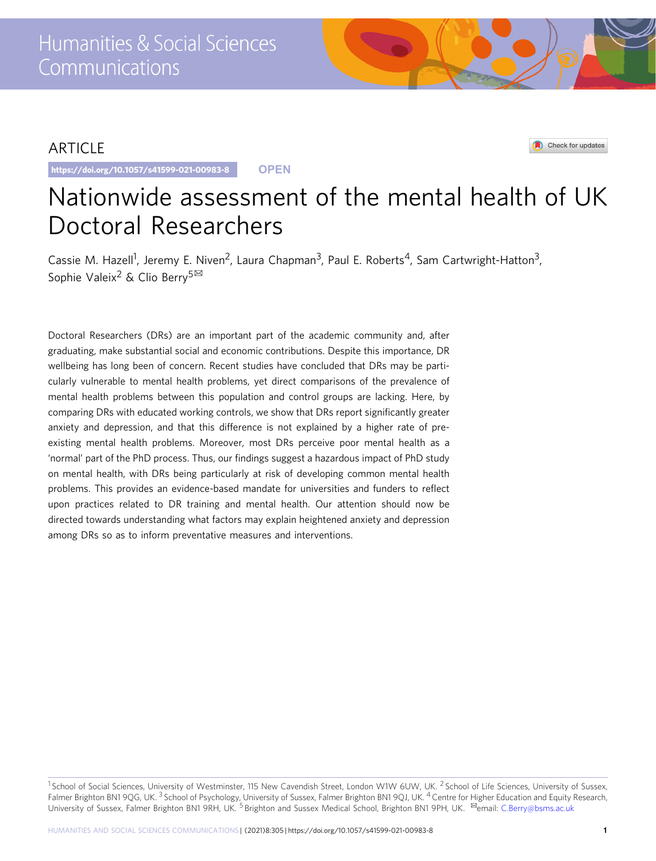## ARTICLE

https://doi.org/10.1057/s41599-021-00983-8 **OPEN**

Check for updates

# Nationwide assessment of the mental health of UK Doctoral Researchers

Cassie M. Hazell<sup>1</sup>, Jeremy E. Niven<sup>2</sup>, Laura Chapman<sup>3</sup>, Paul E. Roberts<sup>4</sup>, Sam Cartwright-Hatton<sup>3</sup>, Sophie Valeix<sup>2</sup> & Clio Berry<sup>5⊠</sup>

Doctoral Researchers (DRs) are an important part of the academic community and, after graduating, make substantial social and economic contributions. Despite this importance, DR wellbeing has long been of concern. Recent studies have concluded that DRs may be particularly vulnerable to mental health problems, yet direct comparisons of the prevalence of mental health problems between this population and control groups are lacking. Here, by comparing DRs with educated working controls, we show that DRs report significantly greater anxiety and depression, and that this difference is not explained by a higher rate of preexisting mental health problems. Moreover, most DRs perceive poor mental health as a 'normal' part of the PhD process. Thus, our findings suggest a hazardous impact of PhD study on mental health, with DRs being particularly at risk of developing common mental health problems. This provides an evidence-based mandate for universities and funders to reflect upon practices related to DR training and mental health. Our attention should now be directed towards understanding what factors may explain heightened anxiety and depression among DRs so as to inform preventative measures and interventions.

<sup>&</sup>lt;sup>1</sup> School of Social Sciences, University of Westminster, 115 New Cavendish Street, London W1W 6UW, UK. <sup>2</sup> School of Life Sciences, University of Sussex, Falmer Brighton BN1 9QG, UK.<sup>3</sup> School of Psychology, University of Sussex, Falmer Brighton BN1 9QJ, UK.<sup>4</sup> Centre for Higher Education and Equity Research, University of Sussex, Falmer Brighton BN1 9RH, UK. <sup>5</sup> Brighton and Sussex Medical School, Brighton BN1 9PH, UK. <sup>⊠</sup>email: [C.Berry@bsms.ac.uk](mailto:C.Berry@bsms.ac.uk)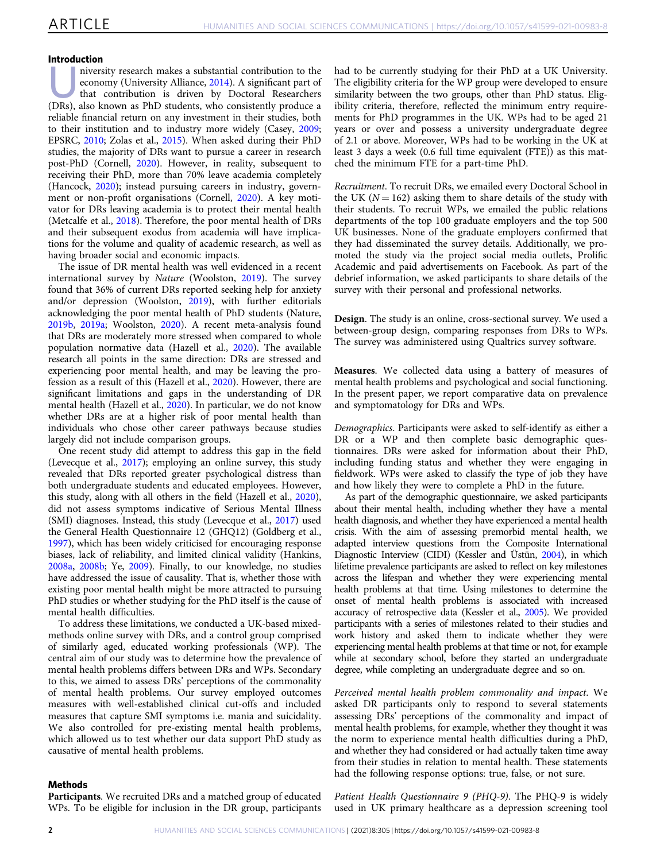#### Introduction

misculation<br>niversity research makes a substantial contribution to the<br>economy (University Alliance, 2014). A significant part of<br>that contribution is driven by Doctoral Researchers<br>(DPs) also like that contribution is dri economy (University Alliance, [2014](#page-8-0)). A significant part of (DRs), also known as PhD students, who consistently produce a reliable financial return on any investment in their studies, both to their institution and to industry more widely (Casey, [2009;](#page-7-0) EPSRC, [2010](#page-7-0); Zolas et al., [2015](#page-8-0)). When asked during their PhD studies, the majority of DRs want to pursue a career in research post-PhD (Cornell, [2020\)](#page-7-0). However, in reality, subsequent to receiving their PhD, more than 70% leave academia completely (Hancock, [2020\)](#page-7-0); instead pursuing careers in industry, government or non-profit organisations (Cornell, [2020](#page-7-0)). A key motivator for DRs leaving academia is to protect their mental health (Metcalfe et al., [2018\)](#page-7-0). Therefore, the poor mental health of DRs and their subsequent exodus from academia will have implications for the volume and quality of academic research, as well as having broader social and economic impacts.

The issue of DR mental health was well evidenced in a recent international survey by Nature (Woolston, [2019](#page-8-0)). The survey found that 36% of current DRs reported seeking help for anxiety and/or depression (Woolston, [2019](#page-8-0)), with further editorials acknowledging the poor mental health of PhD students (Nature, [2019b](#page-7-0), [2019a](#page-7-0); Woolston, [2020](#page-8-0)). A recent meta-analysis found that DRs are moderately more stressed when compared to whole population normative data (Hazell et al., [2020\)](#page-7-0). The available research all points in the same direction: DRs are stressed and experiencing poor mental health, and may be leaving the profession as a result of this (Hazell et al., [2020](#page-7-0)). However, there are significant limitations and gaps in the understanding of DR mental health (Hazell et al., [2020](#page-7-0)). In particular, we do not know whether DRs are at a higher risk of poor mental health than individuals who chose other career pathways because studies largely did not include comparison groups.

One recent study did attempt to address this gap in the field (Levecque et al., [2017](#page-7-0)); employing an online survey, this study revealed that DRs reported greater psychological distress than both undergraduate students and educated employees. However, this study, along with all others in the field (Hazell et al., [2020](#page-7-0)), did not assess symptoms indicative of Serious Mental Illness (SMI) diagnoses. Instead, this study (Levecque et al., [2017\)](#page-7-0) used the General Health Questionnaire 12 (GHQ12) (Goldberg et al., [1997\)](#page-7-0), which has been widely criticised for encouraging response biases, lack of reliability, and limited clinical validity (Hankins, [2008a,](#page-7-0) [2008b;](#page-7-0) Ye, [2009](#page-8-0)). Finally, to our knowledge, no studies have addressed the issue of causality. That is, whether those with existing poor mental health might be more attracted to pursuing PhD studies or whether studying for the PhD itself is the cause of mental health difficulties.

To address these limitations, we conducted a UK-based mixedmethods online survey with DRs, and a control group comprised of similarly aged, educated working professionals (WP). The central aim of our study was to determine how the prevalence of mental health problems differs between DRs and WPs. Secondary to this, we aimed to assess DRs' perceptions of the commonality of mental health problems. Our survey employed outcomes measures with well-established clinical cut-offs and included measures that capture SMI symptoms i.e. mania and suicidality. We also controlled for pre-existing mental health problems, which allowed us to test whether our data support PhD study as causative of mental health problems.

had to be currently studying for their PhD at a UK University. The eligibility criteria for the WP group were developed to ensure similarity between the two groups, other than PhD status. Eligibility criteria, therefore, reflected the minimum entry requirements for PhD programmes in the UK. WPs had to be aged 21 years or over and possess a university undergraduate degree of 2.1 or above. Moreover, WPs had to be working in the UK at least 3 days a week (0.6 full time equivalent (FTE)) as this matched the minimum FTE for a part-time PhD.

Recruitment. To recruit DRs, we emailed every Doctoral School in the UK ( $N = 162$ ) asking them to share details of the study with their students. To recruit WPs, we emailed the public relations departments of the top 100 graduate employers and the top 500 UK businesses. None of the graduate employers confirmed that they had disseminated the survey details. Additionally, we promoted the study via the project social media outlets, Prolific Academic and paid advertisements on Facebook. As part of the debrief information, we asked participants to share details of the survey with their personal and professional networks.

Design. The study is an online, cross-sectional survey. We used a between-group design, comparing responses from DRs to WPs. The survey was administered using Qualtrics survey software.

Measures. We collected data using a battery of measures of mental health problems and psychological and social functioning. In the present paper, we report comparative data on prevalence and symptomatology for DRs and WPs.

Demographics. Participants were asked to self-identify as either a DR or a WP and then complete basic demographic questionnaires. DRs were asked for information about their PhD, including funding status and whether they were engaging in fieldwork. WPs were asked to classify the type of job they have and how likely they were to complete a PhD in the future.

As part of the demographic questionnaire, we asked participants about their mental health, including whether they have a mental health diagnosis, and whether they have experienced a mental health crisis. With the aim of assessing premorbid mental health, we adapted interview questions from the Composite International Diagnostic Interview (CIDI) (Kessler and Üstün, [2004](#page-7-0)), in which lifetime prevalence participants are asked to reflect on key milestones across the lifespan and whether they were experiencing mental health problems at that time. Using milestones to determine the onset of mental health problems is associated with increased accuracy of retrospective data (Kessler et al., [2005\)](#page-7-0). We provided participants with a series of milestones related to their studies and work history and asked them to indicate whether they were experiencing mental health problems at that time or not, for example while at secondary school, before they started an undergraduate degree, while completing an undergraduate degree and so on.

Perceived mental health problem commonality and impact. We asked DR participants only to respond to several statements assessing DRs' perceptions of the commonality and impact of mental health problems, for example, whether they thought it was the norm to experience mental health difficulties during a PhD, and whether they had considered or had actually taken time away from their studies in relation to mental health. These statements had the following response options: true, false, or not sure.

#### Methods

Participants. We recruited DRs and a matched group of educated WPs. To be eligible for inclusion in the DR group, participants Patient Health Questionnaire 9 (PHQ-9). The PHQ-9 is widely used in UK primary healthcare as a depression screening tool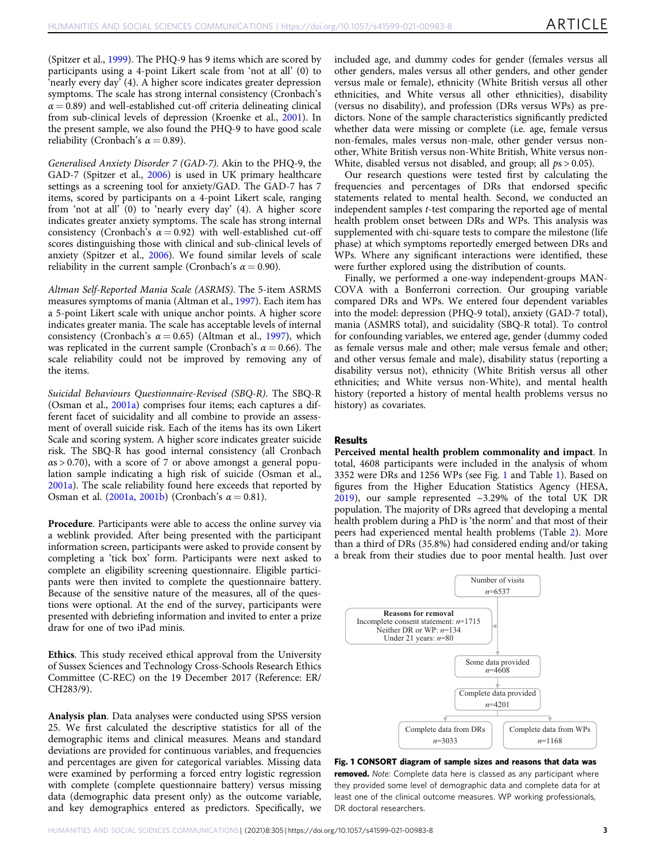(Spitzer et al., [1999\)](#page-8-0). The PHQ-9 has 9 items which are scored by participants using a 4-point Likert scale from 'not at all' (0) to 'nearly every day' (4). A higher score indicates greater depression symptoms. The scale has strong internal consistency (Cronbach's  $\alpha$  = 0.89) and well-established cut-off criteria delineating clinical from sub-clinical levels of depression (Kroenke et al., [2001](#page-7-0)). In the present sample, we also found the PHQ-9 to have good scale reliability (Cronbach's  $\alpha = 0.89$ ).

Generalised Anxiety Disorder 7 (GAD-7). Akin to the PHQ-9, the GAD-7 (Spitzer et al., [2006\)](#page-8-0) is used in UK primary healthcare settings as a screening tool for anxiety/GAD. The GAD-7 has 7 items, scored by participants on a 4-point Likert scale, ranging from 'not at all' (0) to 'nearly every day' (4). A higher score indicates greater anxiety symptoms. The scale has strong internal consistency (Cronbach's  $\alpha = 0.92$ ) with well-established cut-off scores distinguishing those with clinical and sub-clinical levels of anxiety (Spitzer et al., [2006](#page-8-0)). We found similar levels of scale reliability in the current sample (Cronbach's  $\alpha = 0.90$ ).

Altman Self-Reported Mania Scale (ASRMS). The 5-item ASRMS measures symptoms of mania (Altman et al., [1997\)](#page-7-0). Each item has a 5-point Likert scale with unique anchor points. A higher score indicates greater mania. The scale has acceptable levels of internal consistency (Cronbach's  $\alpha = 0.65$ ) (Altman et al., [1997](#page-7-0)), which was replicated in the current sample (Cronbach's  $\alpha = 0.66$ ). The scale reliability could not be improved by removing any of the items.

Suicidal Behaviours Questionnaire-Revised (SBQ-R). The SBQ-R (Osman et al., [2001a](#page-7-0)) comprises four items; each captures a different facet of suicidality and all combine to provide an assessment of overall suicide risk. Each of the items has its own Likert Scale and scoring system. A higher score indicates greater suicide risk. The SBQ-R has good internal consistency (all Cronbach  $\alpha$ s > 0.70), with a score of 7 or above amongst a general population sample indicating a high risk of suicide (Osman et al., [2001a\)](#page-7-0). The scale reliability found here exceeds that reported by Osman et al. [\(2001a](#page-7-0), [2001b](#page-7-0)) (Cronbach's  $\alpha = 0.81$ ).

Procedure. Participants were able to access the online survey via a weblink provided. After being presented with the participant information screen, participants were asked to provide consent by completing a 'tick box' form. Participants were next asked to complete an eligibility screening questionnaire. Eligible participants were then invited to complete the questionnaire battery. Because of the sensitive nature of the measures, all of the questions were optional. At the end of the survey, participants were presented with debriefing information and invited to enter a prize draw for one of two iPad minis.

Ethics. This study received ethical approval from the University of Sussex Sciences and Technology Cross-Schools Research Ethics Committee (C-REC) on the 19 December 2017 (Reference: ER/ CH283/9).

Analysis plan. Data analyses were conducted using SPSS version 25. We first calculated the descriptive statistics for all of the demographic items and clinical measures. Means and standard deviations are provided for continuous variables, and frequencies and percentages are given for categorical variables. Missing data were examined by performing a forced entry logistic regression with complete (complete questionnaire battery) versus missing data (demographic data present only) as the outcome variable, and key demographics entered as predictors. Specifically, we included age, and dummy codes for gender (females versus all other genders, males versus all other genders, and other gender versus male or female), ethnicity (White British versus all other ethnicities, and White versus all other ethnicities), disability (versus no disability), and profession (DRs versus WPs) as predictors. None of the sample characteristics significantly predicted whether data were missing or complete (i.e. age, female versus non-females, males versus non-male, other gender versus nonother, White British versus non-White British, White versus non-White, disabled versus not disabled, and group; all  $ps > 0.05$ ).

Our research questions were tested first by calculating the frequencies and percentages of DRs that endorsed specific statements related to mental health. Second, we conducted an independent samples t-test comparing the reported age of mental health problem onset between DRs and WPs. This analysis was supplemented with chi-square tests to compare the milestone (life phase) at which symptoms reportedly emerged between DRs and WPs. Where any significant interactions were identified, these were further explored using the distribution of counts.

Finally, we performed a one-way independent-groups MAN-COVA with a Bonferroni correction. Our grouping variable compared DRs and WPs. We entered four dependent variables into the model: depression (PHQ-9 total), anxiety (GAD-7 total), mania (ASMRS total), and suicidality (SBQ-R total). To control for confounding variables, we entered age, gender (dummy coded as female versus male and other; male versus female and other; and other versus female and male), disability status (reporting a disability versus not), ethnicity (White British versus all other ethnicities; and White versus non-White), and mental health history (reported a history of mental health problems versus no history) as covariates.

#### Results

Perceived mental health problem commonality and impact. In total, 4608 participants were included in the analysis of whom 3352 were DRs and 1256 WPs (see Fig. 1 and Table [1\)](#page-3-0). Based on figures from the Higher Education Statistics Agency (HESA, [2019\)](#page-7-0), our sample represented ~3.29% of the total UK DR population. The majority of DRs agreed that developing a mental health problem during a PhD is 'the norm' and that most of their peers had experienced mental health problems (Table [2](#page-5-0)). More than a third of DRs (35.8%) had considered ending and/or taking a break from their studies due to poor mental health. Just over



Fig. 1 CONSORT diagram of sample sizes and reasons that data was removed. Note: Complete data here is classed as any participant where they provided some level of demographic data and complete data for at least one of the clinical outcome measures. WP working professionals, DR doctoral researchers.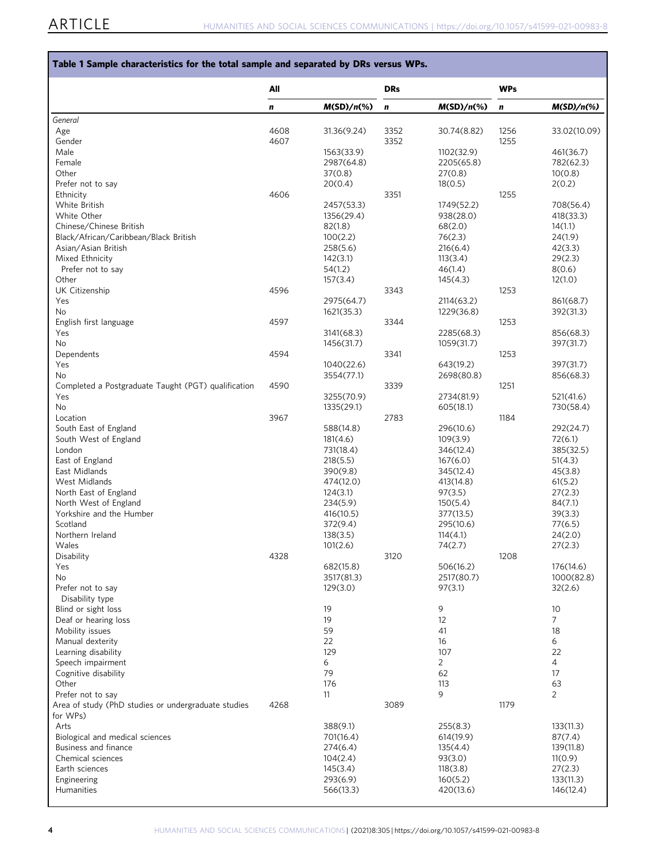#### <span id="page-3-0"></span>Table 1 Sample characteristics for the total sample and separated by DRs versus WPs.

|                                                         | All  |                       | <b>DRs</b> |                       | <b>WPs</b> |                      |
|---------------------------------------------------------|------|-----------------------|------------|-----------------------|------------|----------------------|
|                                                         | n    | $M(SD)/n(\%)$         | $\pmb{n}$  | $M(SD)/n$ (%)         | n          | $M(SD)/n(\%)$        |
| General                                                 |      |                       |            |                       |            |                      |
| Age                                                     | 4608 | 31.36(9.24)           | 3352       | 30.74(8.82)           | 1256       | 33.02(10.09)         |
| Gender                                                  | 4607 |                       | 3352       |                       | 1255       |                      |
| Male                                                    |      | 1563(33.9)            |            | 1102(32.9)            |            | 461(36.7)            |
| Female                                                  |      | 2987(64.8)            |            | 2205(65.8)            |            | 782(62.3)            |
| Other<br>Prefer not to say                              |      | 37(0.8)<br>20(0.4)    |            | 27(0.8)<br>18(0.5)    |            | 10(0.8)<br>2(0.2)    |
| Ethnicity                                               | 4606 |                       | 3351       |                       | 1255       |                      |
| White British                                           |      | 2457(53.3)            |            | 1749(52.2)            |            | 708(56.4)            |
| White Other                                             |      | 1356(29.4)            |            | 938(28.0)             |            | 418(33.3)            |
| Chinese/Chinese British                                 |      | 82(1.8)               |            | 68(2.0)               |            | 14(1.1)              |
| Black/African/Caribbean/Black British                   |      | 100(2.2)              |            | 76(2.3)               |            | 24(1.9)              |
| Asian/Asian British                                     |      | 258(5.6)              |            | 216(6.4)              |            | 42(3.3)              |
| Mixed Ethnicity                                         |      | 142(3.1)              |            | 113(3.4)              |            | 29(2.3)              |
| Prefer not to say                                       |      | 54(1.2)               |            | 46(1.4)               |            | 8(0.6)               |
| Other                                                   |      | 157(3.4)              |            | 145(4.3)              |            | 12(1.0)              |
| UK Citizenship                                          | 4596 |                       | 3343       |                       | 1253       |                      |
| Yes                                                     |      | 2975(64.7)            |            | 2114(63.2)            |            | 861(68.7)            |
| No<br>English first language                            | 4597 | 1621(35.3)            | 3344       | 1229(36.8)            | 1253       | 392(31.3)            |
| Yes                                                     |      | 3141(68.3)            |            | 2285(68.3)            |            | 856(68.3)            |
| No                                                      |      | 1456(31.7)            |            | 1059(31.7)            |            | 397(31.7)            |
| Dependents                                              | 4594 |                       | 3341       |                       | 1253       |                      |
| Yes                                                     |      | 1040(22.6)            |            | 643(19.2)             |            | 397(31.7)            |
| No.                                                     |      | 3554(77.1)            |            | 2698(80.8)            |            | 856(68.3)            |
| Completed a Postgraduate Taught (PGT) qualification     | 4590 |                       | 3339       |                       | 1251       |                      |
| Yes                                                     |      | 3255(70.9)            |            | 2734(81.9)            |            | 521(41.6)            |
| <b>No</b>                                               |      | 1335(29.1)            |            | 605(18.1)             |            | 730(58.4)            |
| Location                                                | 3967 |                       | 2783       |                       | 1184       |                      |
| South East of England                                   |      | 588(14.8)             |            | 296(10.6)             |            | 292(24.7)            |
| South West of England                                   |      | 181(4.6)              |            | 109(3.9)              |            | 72(6.1)              |
| London<br>East of England                               |      | 731(18.4)<br>218(5.5) |            | 346(12.4)             |            | 385(32.5)<br>51(4.3) |
| East Midlands                                           |      | 390(9.8)              |            | 167(6.0)<br>345(12.4) |            | 45(3.8)              |
| West Midlands                                           |      | 474(12.0)             |            | 413(14.8)             |            | 61(5.2)              |
| North East of England                                   |      | 124(3.1)              |            | 97(3.5)               |            | 27(2.3)              |
| North West of England                                   |      | 234(5.9)              |            | 150(5.4)              |            | 84(7.1)              |
| Yorkshire and the Humber                                |      | 416(10.5)             |            | 377(13.5)             |            | 39(3.3)              |
| Scotland                                                |      | 372(9.4)              |            | 295(10.6)             |            | 77(6.5)              |
| Northern Ireland                                        |      | 138(3.5)              |            | 114(4.1)              |            | 24(2.0)              |
| Wales                                                   |      | 101(2.6)              |            | 74(2.7)               |            | 27(2.3)              |
| Disability                                              | 4328 |                       | 3120       |                       | 1208       |                      |
| Yes                                                     |      | 682(15.8)             |            | 506(16.2)             |            | 176(14.6)            |
| No                                                      |      | 3517(81.3)            |            | 2517(80.7)            |            | 1000(82.8)           |
| Prefer not to say<br>Disability type                    |      | 129(3.0)              |            | 97(3.1)               |            | 32(2.6)              |
| Blind or sight loss                                     |      | 19                    |            | 9                     |            | 10                   |
| Deaf or hearing loss                                    |      | 19                    |            | 12                    |            | $\overline{7}$       |
| Mobility issues                                         |      | 59                    |            | 41                    |            | 18                   |
| Manual dexterity                                        |      | 22                    |            | 16                    |            | 6                    |
| Learning disability                                     |      | 129                   |            | 107                   |            | 22                   |
| Speech impairment                                       |      | 6                     |            | $\overline{2}$        |            | $\overline{4}$       |
| Cognitive disability                                    |      | 79                    |            | 62                    |            | 17                   |
| Other                                                   |      | 176                   |            | 113                   |            | 63                   |
| Prefer not to say                                       |      | 11                    |            | 9                     |            | 2                    |
| Area of study (PhD studies or undergraduate studies     | 4268 |                       | 3089       |                       | 1179       |                      |
| for WPs)                                                |      |                       |            |                       |            |                      |
| Arts                                                    |      | 388(9.1)              |            | 255(8.3)              |            | 133(11.3)            |
| Biological and medical sciences<br>Business and finance |      | 701(16.4)<br>274(6.4) |            | 614(19.9)<br>135(4.4) |            | 87(7.4)<br>139(11.8) |
| Chemical sciences                                       |      | 104(2.4)              |            | 93(3.0)               |            | 11(0.9)              |
| Earth sciences                                          |      | 145(3.4)              |            | 118(3.8)              |            | 27(2.3)              |
| Engineering                                             |      | 293(6.9)              |            | 160(5.2)              |            | 133(11.3)            |
| Humanities                                              |      | 566(13.3)             |            | 420(13.6)             |            | 146(12.4)            |
|                                                         |      |                       |            |                       |            |                      |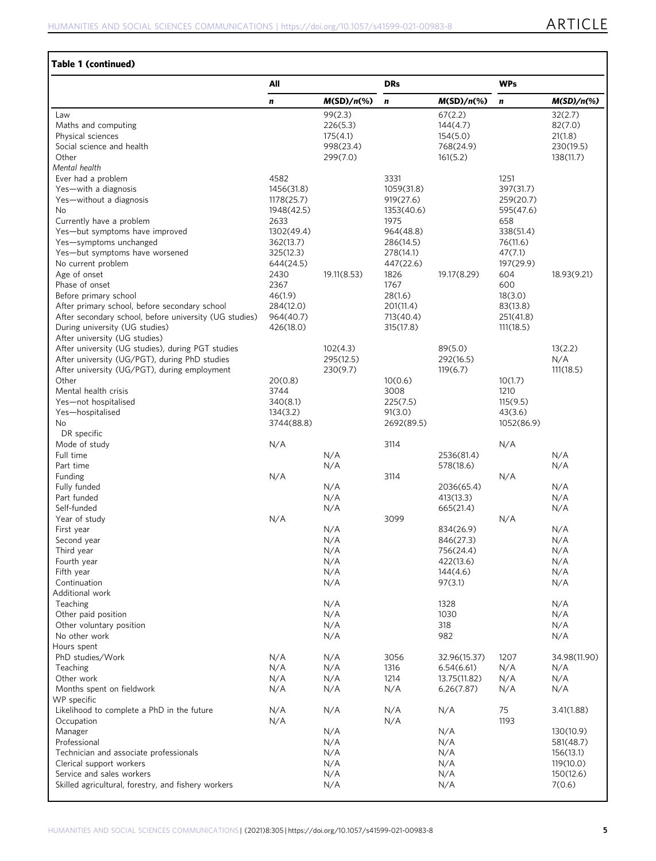### Table 1 (continued)

|                                                                                    | All                    |                       | <b>DRs</b>             |                       | <b>WPs</b>          |                        |
|------------------------------------------------------------------------------------|------------------------|-----------------------|------------------------|-----------------------|---------------------|------------------------|
|                                                                                    | n                      | $M(SD)/n(\%)$         | n                      | $M(SD)/n$ (%)         | $\mathbf n$         | $M(SD)/n(\%)$          |
| Law                                                                                |                        | 99(2.3)               |                        | 67(2.2)               |                     | 32(2.7)                |
| Maths and computing                                                                |                        | 226(5.3)              |                        | 144(4.7)              |                     | 82(7.0)                |
| Physical sciences                                                                  |                        | 175(4.1)              |                        | 154(5.0)              |                     | 21(1.8)                |
| Social science and health<br>Other                                                 |                        | 998(23.4)<br>299(7.0) |                        | 768(24.9)<br>161(5.2) |                     | 230(19.5)<br>138(11.7) |
| Mental health                                                                      |                        |                       |                        |                       |                     |                        |
| Ever had a problem                                                                 | 4582                   |                       | 3331                   |                       | 1251                |                        |
| Yes-with a diagnosis                                                               | 1456(31.8)             |                       | 1059(31.8)             |                       | 397(31.7)           |                        |
| Yes-without a diagnosis                                                            | 1178(25.7)             |                       | 919(27.6)              |                       | 259(20.7)           |                        |
| No.                                                                                | 1948(42.5)             |                       | 1353(40.6)             |                       | 595(47.6)           |                        |
| Currently have a problem                                                           | 2633                   |                       | 1975                   |                       | 658                 |                        |
| Yes-but symptoms have improved                                                     | 1302(49.4)             |                       | 964(48.8)              |                       | 338(51.4)           |                        |
| Yes-symptoms unchanged<br>Yes-but symptoms have worsened                           | 362(13.7)<br>325(12.3) |                       | 286(14.5)<br>278(14.1) |                       | 76(11.6)<br>47(7.1) |                        |
| No current problem                                                                 | 644(24.5)              |                       | 447(22.6)              |                       | 197(29.9)           |                        |
| Age of onset                                                                       | 2430                   | 19.11(8.53)           | 1826                   | 19.17(8.29)           | 604                 | 18.93(9.21)            |
| Phase of onset                                                                     | 2367                   |                       | 1767                   |                       | 600                 |                        |
| Before primary school                                                              | 46(1.9)                |                       | 28(1.6)                |                       | 18(3.0)             |                        |
| After primary school, before secondary school                                      | 284(12.0)              |                       | 201(11.4)              |                       | 83(13.8)            |                        |
| After secondary school, before university (UG studies)                             | 964(40.7)              |                       | 713(40.4)              |                       | 251(41.8)           |                        |
| During university (UG studies)                                                     | 426(18.0)              |                       | 315(17.8)              |                       | 111(18.5)           |                        |
| After university (UG studies)<br>After university (UG studies), during PGT studies |                        | 102(4.3)              |                        | 89(5.0)               |                     | 13(2.2)                |
| After university (UG/PGT), during PhD studies                                      |                        | 295(12.5)             |                        | 292(16.5)             |                     | N/A                    |
| After university (UG/PGT), during employment                                       |                        | 230(9.7)              |                        | 119(6.7)              |                     | 111(18.5)              |
| Other                                                                              | 20(0.8)                |                       | 10(0.6)                |                       | 10(1.7)             |                        |
| Mental health crisis                                                               | 3744                   |                       | 3008                   |                       | 1210                |                        |
| Yes-not hospitalised                                                               | 340(8.1)               |                       | 225(7.5)               |                       | 115(9.5)            |                        |
| Yes-hospitalised                                                                   | 134(3.2)               |                       | 91(3.0)                |                       | 43(3.6)             |                        |
| No                                                                                 | 3744(88.8)             |                       | 2692(89.5)             |                       | 1052(86.9)          |                        |
| DR specific                                                                        | N/A                    |                       | 3114                   |                       |                     |                        |
| Mode of study<br>Full time                                                         |                        | N/A                   |                        | 2536(81.4)            | N/A                 | N/A                    |
| Part time                                                                          |                        | N/A                   |                        | 578(18.6)             |                     | N/A                    |
| Funding                                                                            | N/A                    |                       | 3114                   |                       | N/A                 |                        |
| Fully funded                                                                       |                        | N/A                   |                        | 2036(65.4)            |                     | N/A                    |
| Part funded                                                                        |                        | N/A                   |                        | 413(13.3)             |                     | N/A                    |
| Self-funded                                                                        |                        | N/A                   |                        | 665(21.4)             |                     | N/A                    |
| Year of study<br>First year                                                        | N/A                    | N/A                   | 3099                   | 834(26.9)             | N/A                 | N/A                    |
| Second year                                                                        |                        | N/A                   |                        | 846(27.3)             |                     | N/A                    |
| Third year                                                                         |                        | N/A                   |                        | 756(24.4)             |                     | N/A                    |
| Fourth year                                                                        |                        | N/A                   |                        | 422(13.6)             |                     | N/A                    |
| Fifth year                                                                         |                        | N/A                   |                        | 144(4.6)              |                     | N/A                    |
| Continuation                                                                       |                        | N/A                   |                        | 97(3.1)               |                     | N/A                    |
| Additional work                                                                    |                        |                       |                        |                       |                     |                        |
| Teaching<br>Other paid position                                                    |                        | N/A<br>N/A            |                        | 1328<br>1030          |                     | N/A<br>N/A             |
| Other voluntary position                                                           |                        | N/A                   |                        | 318                   |                     | N/A                    |
| No other work                                                                      |                        | N/A                   |                        | 982                   |                     | N/A                    |
| Hours spent                                                                        |                        |                       |                        |                       |                     |                        |
| PhD studies/Work                                                                   | N/A                    | N/A                   | 3056                   | 32.96(15.37)          | 1207                | 34.98(11.90)           |
| Teaching                                                                           | N/A                    | N/A                   | 1316                   | 6.54(6.61)            | N/A                 | N/A                    |
| Other work                                                                         | N/A                    | N/A                   | 1214                   | 13.75(11.82)          | N/A                 | N/A                    |
| Months spent on fieldwork                                                          | N/A                    | N/A                   | N/A                    | 6.26(7.87)            | N/A                 | N/A                    |
| WP specific<br>Likelihood to complete a PhD in the future                          | N/A                    | N/A                   | N/A                    | N/A                   | 75                  | 3.41(1.88)             |
| Occupation                                                                         | N/A                    |                       | N/A                    |                       | 1193                |                        |
| Manager                                                                            |                        | N/A                   |                        | N/A                   |                     | 130(10.9)              |
| Professional                                                                       |                        | N/A                   |                        | N/A                   |                     | 581(48.7)              |
| Technician and associate professionals                                             |                        | N/A                   |                        | N/A                   |                     | 156(13.1)              |
| Clerical support workers                                                           |                        | N/A                   |                        | N/A                   |                     | 119(10.0)              |
| Service and sales workers                                                          |                        | N/A                   |                        | N/A                   |                     | 150(12.6)              |
| Skilled agricultural, forestry, and fishery workers                                |                        | N/A                   |                        | N/A                   |                     | 7(0.6)                 |
|                                                                                    |                        |                       |                        |                       |                     |                        |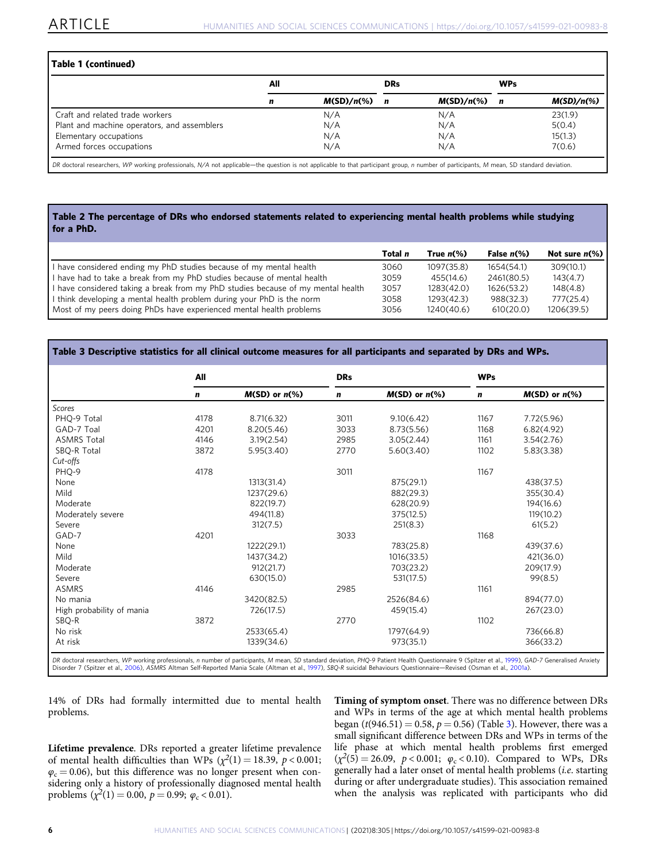#### <span id="page-5-0"></span>Table 1 (continued)

|                                             | All |                          | <b>DRs</b>  |               | <b>WPs</b> |               |
|---------------------------------------------|-----|--------------------------|-------------|---------------|------------|---------------|
|                                             | n   | $M(SD)/n$ <sup>(%)</sup> | $\mathbf n$ | $M(SD)/n(\%)$ | n          | $M(SD)/n(\%)$ |
| Craft and related trade workers             |     | N/A                      |             | N/A           |            | 23(1.9)       |
| Plant and machine operators, and assemblers |     | N/A                      |             | N/A           |            | 5(0.4)        |
| Elementary occupations                      |     | N/A                      |             | N/A           |            | 15(1.3)       |
| Armed forces occupations                    |     | N/A                      |             | N/A           |            | 7(0.6)        |

DR doctoral researchers, WP working professionals, N/A not applicable—the question is not applicable to that participant group, n number of participants, M mean, SD standard deviation.

#### Table 2 The percentage of DRs who endorsed statements related to experiencing mental health problems while studying for a PhD.

| Total n | True $n\%$ ) | False $n\%$ ) | Not sure $n\ll 0$ |
|---------|--------------|---------------|-------------------|
| 3060    | 1097(35.8)   | 1654(54.1)    | 309(10.1)         |
| 3059    | 455(14.6)    | 2461(80.5)    | 143(4.7)          |
| 3057    | 1283(42.0)   | 1626(53.2)    | 148(4.8)          |
| 3058    | 1293(42.3)   | 988(32.3)     | 777(25.4)         |
| 3056    | 1240(40.6)   | 610(20.0)     | 1206(39.5)        |
|         |              |               |                   |

#### Table 3 Descriptive statistics for all clinical outcome measures for all participants and separated by DRs and WPs.

|                                                                                                                                                                                                    | All  |                     |             |                    | <b>WPs</b> |                    |  |
|----------------------------------------------------------------------------------------------------------------------------------------------------------------------------------------------------|------|---------------------|-------------|--------------------|------------|--------------------|--|
|                                                                                                                                                                                                    | n    | $M(SD)$ or $n\ll 0$ | $\mathbf n$ | $M(SD)$ or $n$ (%) | n          | $M(SD)$ or $n$ (%) |  |
| Scores                                                                                                                                                                                             |      |                     |             |                    |            |                    |  |
| PHQ-9 Total                                                                                                                                                                                        | 4178 | 8.71(6.32)          | 3011        | 9.10(6.42)         | 1167       | 7.72(5.96)         |  |
| GAD-7 Toal                                                                                                                                                                                         | 4201 | 8.20(5.46)          | 3033        | 8.73(5.56)         | 1168       | 6.82(4.92)         |  |
| <b>ASMRS Total</b>                                                                                                                                                                                 | 4146 | 3.19(2.54)          | 2985        | 3.05(2.44)         | 1161       | 3.54(2.76)         |  |
| SBQ-R Total                                                                                                                                                                                        | 3872 | 5.95(3.40)          | 2770        | 5.60(3.40)         | 1102       | 5.83(3.38)         |  |
| Cut-offs                                                                                                                                                                                           |      |                     |             |                    |            |                    |  |
| PHQ-9                                                                                                                                                                                              | 4178 |                     | 3011        |                    | 1167       |                    |  |
| None                                                                                                                                                                                               |      | 1313(31.4)          |             | 875(29.1)          |            | 438(37.5)          |  |
| Mild                                                                                                                                                                                               |      | 1237(29.6)          |             | 882(29.3)          |            | 355(30.4)          |  |
| Moderate                                                                                                                                                                                           |      | 822(19.7)           |             | 628(20.9)          |            | 194(16.6)          |  |
| Moderately severe                                                                                                                                                                                  |      | 494(11.8)           |             | 375(12.5)          |            | 119(10.2)          |  |
| Severe                                                                                                                                                                                             |      | 312(7.5)            |             | 251(8.3)           |            | 61(5.2)            |  |
| GAD-7                                                                                                                                                                                              | 4201 |                     | 3033        |                    | 1168       |                    |  |
| None                                                                                                                                                                                               |      | 1222(29.1)          |             | 783(25.8)          |            | 439(37.6)          |  |
| Mild                                                                                                                                                                                               |      | 1437(34.2)          |             | 1016(33.5)         |            | 421(36.0)          |  |
| Moderate                                                                                                                                                                                           |      | 912(21.7)           |             | 703(23.2)          |            | 209(17.9)          |  |
| Severe                                                                                                                                                                                             |      | 630(15.0)           |             | 531(17.5)          |            | 99(8.5)            |  |
| <b>ASMRS</b>                                                                                                                                                                                       | 4146 |                     | 2985        |                    | 1161       |                    |  |
| No mania                                                                                                                                                                                           |      | 3420(82.5)          |             | 2526(84.6)         |            | 894(77.0)          |  |
| High probability of mania                                                                                                                                                                          |      | 726(17.5)           |             | 459(15.4)          |            | 267(23.0)          |  |
| SBQ-R                                                                                                                                                                                              | 3872 |                     | 2770        |                    | 1102       |                    |  |
| No risk                                                                                                                                                                                            |      | 2533(65.4)          |             | 1797(64.9)         |            | 736(66.8)          |  |
| At risk                                                                                                                                                                                            |      | 1339(34.6)          |             | 973(35.1)          |            | 366(33.2)          |  |
| DR doctoral researchers, WP working professionals, n number of participants, M mean, SD standard deviation, PHQ-9 Patient Health Questionnaire 9 (Spitzer et al., 1999), GAD-7 Generalised Anxiety |      |                     |             |                    |            |                    |  |

DR doctoral researchers, WP working professionals, *n* number of participants, M mean, SD standard deviation, PHQ-9 Patient Health Questionnaire 9 (Spitzer et al., [1999\)](#page-8-0), GAD-7 Generalised Anxiety<br>Disorder 7 (Spitzer et al

14% of DRs had formally intermitted due to mental health problems.

Lifetime prevalence. DRs reported a greater lifetime prevalence of mental health difficulties than WPs  $(\chi^2(1) = 18.39, p < 0.001;$  $\varphi_c = 0.06$ ), but this difference was no longer present when considering only a history of professionally diagnosed mental health problems  $(\chi^2(1) = 0.00, p = 0.99; \varphi_c < 0.01)$ .

Timing of symptom onset. There was no difference between DRs and WPs in terms of the age at which mental health problems began ( $t(946.51) = 0.58$ ,  $p = 0.56$ ) (Table 3). However, there was a small significant difference between DRs and WPs in terms of the life phase at which mental health problems first emerged  $(\chi^2(5) = 26.09, p < 0.001; \varphi_c < 0.10)$ . Compared to WPs, DRs generally had a later onset of mental health problems (i.e. starting during or after undergraduate studies). This association remained when the analysis was replicated with participants who did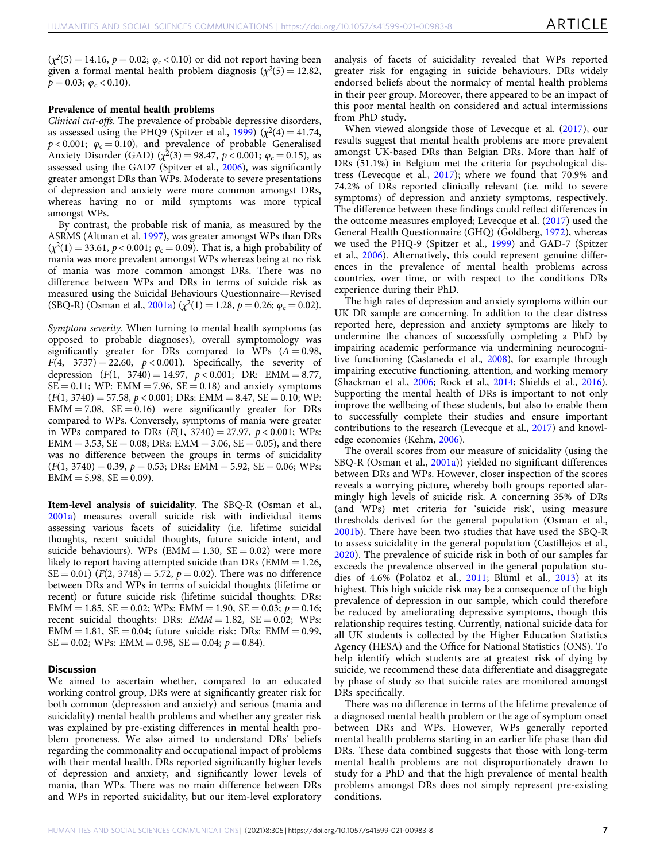$(\chi^2(5) = 14.16, p = 0.02; \varphi_c < 0.10)$  or did not report having been given a formal mental health problem diagnosis ( $\chi^2(5) = 12.82$ ,  $p = 0.03$ ;  $\varphi_c < 0.10$ ).

#### Prevalence of mental health problems

Clinical cut-offs. The prevalence of probable depressive disorders, as assessed using the PHQ9 (Spitzer et al., [1999\)](#page-8-0)  $(\chi^2(4) = 41.74,$  $p < 0.001$ ;  $\varphi_c = 0.10$ ), and prevalence of probable Generalised Anxiety Disorder (GAD) ( $\chi^2(3) = 98.47$ ,  $p < 0.001$ ;  $\varphi_c = 0.15$ ), as assessed using the GAD7 (Spitzer et al., [2006\)](#page-8-0), was significantly greater amongst DRs than WPs. Moderate to severe presentations of depression and anxiety were more common amongst DRs, whereas having no or mild symptoms was more typical amongst WPs.

By contrast, the probable risk of mania, as measured by the ASRMS (Altman et al. [1997](#page-7-0)), was greater amongst WPs than DRs  $(\chi^2(1) = 33.61, p < 0.001; \varphi_c = 0.09)$ . That is, a high probability of mania was more prevalent amongst WPs whereas being at no risk of mania was more common amongst DRs. There was no difference between WPs and DRs in terms of suicide risk as measured using the Suicidal Behaviours Questionnaire—Revised (SBQ-R) (Osman et al.,  $2001a$ ) ( $\chi^2(1) = 1.28$ ,  $p = 0.26$ ;  $\varphi_c = 0.02$ ).

Symptom severity. When turning to mental health symptoms (as opposed to probable diagnoses), overall symptomology was significantly greater for DRs compared to WPs  $(A = 0.98,$  $F(4, 3737) = 22.60, p < 0.001$ . Specifically, the severity of depression  $(F(1, 3740) = 14.97, p < 0.001; DR: EMM = 8.77,$  $SE = 0.11$ ; WP: EMM = 7.96,  $SE = 0.18$ ) and anxiety symptoms  $(F(1, 3740) = 57.58, p < 0.001;$  DRs: EMM = 8.47, SE = 0.10; WP:  $EMM = 7.08$ ,  $SE = 0.16$ ) were significantly greater for DRs compared to WPs. Conversely, symptoms of mania were greater in WPs compared to DRs  $(F(1, 3740) = 27.97, p < 0.001; WPs$ :  $EMM = 3.53$ ,  $SE = 0.08$ ; DRs:  $EMM = 3.06$ ,  $SE = 0.05$ ), and there was no difference between the groups in terms of suicidality  $(F(1, 3740) = 0.39, p = 0.53; DRs: EMM = 5.92, SE = 0.06; WPs:$  $EMM = 5.98, SE = 0.09$ .

Item-level analysis of suicidality. The SBQ-R (Osman et al., [2001a\)](#page-7-0) measures overall suicide risk with individual items assessing various facets of suicidality (i.e. lifetime suicidal thoughts, recent suicidal thoughts, future suicide intent, and suicide behaviours). WPs ( $EMM = 1.30$ ,  $SE = 0.02$ ) were more likely to report having attempted suicide than DRs ( $EMM = 1.26$ ,  $SE = 0.01$ ) ( $F(2, 3748) = 5.72$ ,  $p = 0.02$ ). There was no difference between DRs and WPs in terms of suicidal thoughts (lifetime or recent) or future suicide risk (lifetime suicidal thoughts: DRs: EMM = 1.85, SE = 0.02; WPs: EMM = 1.90, SE = 0.03;  $p = 0.16$ ; recent suicidal thoughts: DRs:  $EMM = 1.82$ ,  $SE = 0.02$ ; WPs:  $EMM = 1.81$ ,  $SE = 0.04$ ; future suicide risk: DRs:  $EMM = 0.99$ ,  $SE = 0.02$ ; WPs: EMM = 0.98,  $SE = 0.04$ ;  $p = 0.84$ ).

#### **Discussion**

We aimed to ascertain whether, compared to an educated working control group, DRs were at significantly greater risk for both common (depression and anxiety) and serious (mania and suicidality) mental health problems and whether any greater risk was explained by pre-existing differences in mental health problem proneness. We also aimed to understand DRs' beliefs regarding the commonality and occupational impact of problems with their mental health. DRs reported significantly higher levels of depression and anxiety, and significantly lower levels of mania, than WPs. There was no main difference between DRs and WPs in reported suicidality, but our item-level exploratory

analysis of facets of suicidality revealed that WPs reported greater risk for engaging in suicide behaviours. DRs widely endorsed beliefs about the normalcy of mental health problems in their peer group. Moreover, there appeared to be an impact of this poor mental health on considered and actual intermissions from PhD study.

When viewed alongside those of Levecque et al. ([2017](#page-7-0)), our results suggest that mental health problems are more prevalent amongst UK-based DRs than Belgian DRs. More than half of DRs (51.1%) in Belgium met the criteria for psychological distress (Levecque et al., [2017](#page-7-0)); where we found that 70.9% and 74.2% of DRs reported clinically relevant (i.e. mild to severe symptoms) of depression and anxiety symptoms, respectively. The difference between these findings could reflect differences in the outcome measures employed; Levecque et al. ([2017\)](#page-7-0) used the General Health Questionnaire (GHQ) (Goldberg, [1972](#page-7-0)), whereas we used the PHQ-9 (Spitzer et al., [1999](#page-8-0)) and GAD-7 (Spitzer et al., [2006](#page-8-0)). Alternatively, this could represent genuine differences in the prevalence of mental health problems across countries, over time, or with respect to the conditions DRs experience during their PhD.

The high rates of depression and anxiety symptoms within our UK DR sample are concerning. In addition to the clear distress reported here, depression and anxiety symptoms are likely to undermine the chances of successfully completing a PhD by impairing academic performance via undermining neurocognitive functioning (Castaneda et al., [2008\)](#page-7-0), for example through impairing executive functioning, attention, and working memory (Shackman et al., [2006;](#page-7-0) Rock et al., [2014](#page-7-0); Shields et al., [2016](#page-8-0)). Supporting the mental health of DRs is important to not only improve the wellbeing of these students, but also to enable them to successfully complete their studies and ensure important contributions to the research (Levecque et al., [2017](#page-7-0)) and knowledge economies (Kehm, [2006\)](#page-7-0).

The overall scores from our measure of suicidality (using the SBQ-R (Osman et al., [2001a](#page-7-0))) yielded no significant differences between DRs and WPs. However, closer inspection of the scores reveals a worrying picture, whereby both groups reported alarmingly high levels of suicide risk. A concerning 35% of DRs (and WPs) met criteria for 'suicide risk', using measure thresholds derived for the general population (Osman et al., [2001b\)](#page-7-0). There have been two studies that have used the SBQ-R to assess suicidality in the general population (Castillejos et al., [2020](#page-7-0)). The prevalence of suicide risk in both of our samples far exceeds the prevalence observed in the general population studies of 4.6% (Polatöz et al., [2011;](#page-7-0) Blüml et al., [2013\)](#page-7-0) at its highest. This high suicide risk may be a consequence of the high prevalence of depression in our sample, which could therefore be reduced by ameliorating depressive symptoms, though this relationship requires testing. Currently, national suicide data for all UK students is collected by the Higher Education Statistics Agency (HESA) and the Office for National Statistics (ONS). To help identify which students are at greatest risk of dying by suicide, we recommend these data differentiate and disaggregate by phase of study so that suicide rates are monitored amongst DRs specifically.

There was no difference in terms of the lifetime prevalence of a diagnosed mental health problem or the age of symptom onset between DRs and WPs. However, WPs generally reported mental health problems starting in an earlier life phase than did DRs. These data combined suggests that those with long-term mental health problems are not disproportionately drawn to study for a PhD and that the high prevalence of mental health problems amongst DRs does not simply represent pre-existing conditions.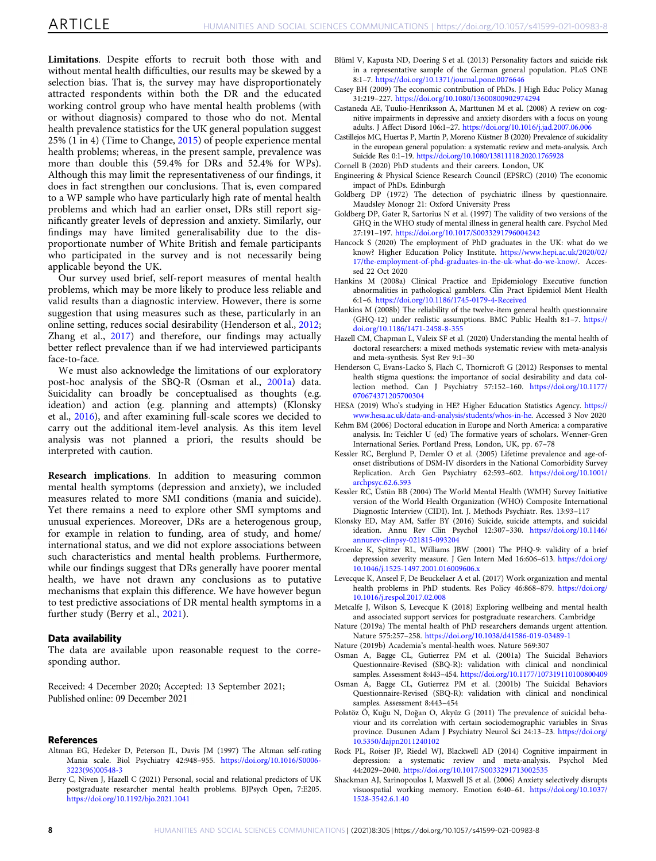<span id="page-7-0"></span>Limitations. Despite efforts to recruit both those with and without mental health difficulties, our results may be skewed by a selection bias. That is, the survey may have disproportionately attracted respondents within both the DR and the educated working control group who have mental health problems (with or without diagnosis) compared to those who do not. Mental health prevalence statistics for the UK general population suggest 25% (1 in 4) (Time to Change, [2015\)](#page-8-0) of people experience mental health problems; whereas, in the present sample, prevalence was more than double this (59.4% for DRs and 52.4% for WPs). Although this may limit the representativeness of our findings, it does in fact strengthen our conclusions. That is, even compared to a WP sample who have particularly high rate of mental health problems and which had an earlier onset, DRs still report significantly greater levels of depression and anxiety. Similarly, our findings may have limited generalisability due to the disproportionate number of White British and female participants who participated in the survey and is not necessarily being applicable beyond the UK.

Our survey used brief, self-report measures of mental health problems, which may be more likely to produce less reliable and valid results than a diagnostic interview. However, there is some suggestion that using measures such as these, particularly in an online setting, reduces social desirability (Henderson et al., 2012; Zhang et al., [2017\)](#page-8-0) and therefore, our findings may actually better reflect prevalence than if we had interviewed participants face-to-face.

We must also acknowledge the limitations of our exploratory post-hoc analysis of the SBQ-R (Osman et al., 2001a) data. Suicidality can broadly be conceptualised as thoughts (e.g. ideation) and action (e.g. planning and attempts) (Klonsky et al., 2016), and after examining full-scale scores we decided to carry out the additional item-level analysis. As this item level analysis was not planned a priori, the results should be interpreted with caution.

Research implications. In addition to measuring common mental health symptoms (depression and anxiety), we included measures related to more SMI conditions (mania and suicide). Yet there remains a need to explore other SMI symptoms and unusual experiences. Moreover, DRs are a heterogenous group, for example in relation to funding, area of study, and home/ international status, and we did not explore associations between such characteristics and mental health problems. Furthermore, while our findings suggest that DRs generally have poorer mental health, we have not drawn any conclusions as to putative mechanisms that explain this difference. We have however begun to test predictive associations of DR mental health symptoms in a further study (Berry et al., 2021).

#### Data availability

The data are available upon reasonable request to the corresponding author.

Received: 4 December 2020; Accepted: 13 September 2021; Published online: 09 December 2021

#### **References**

- Altman EG, Hedeker D, Peterson JL, Davis JM (1997) The Altman self-rating Mania scale. Biol Psychiatry 42:948–955. [https://doi.org/10.1016/S0006-](https://doi.org/10.1016/S0006-3223(96)00548-3) [3223\(96\)00548-3](https://doi.org/10.1016/S0006-3223(96)00548-3)
- Berry C, Niven J, Hazell C (2021) Personal, social and relational predictors of UK postgraduate researcher mental health problems. BJPsych Open, 7:E205. <https://doi.org/10.1192/bjo.2021.1041>
- Blüml V, Kapusta ND, Doering S et al. (2013) Personality factors and suicide risk in a representative sample of the German general population. PLoS ONE 8:1–7. <https://doi.org/10.1371/journal.pone.0076646>
- Casey BH (2009) The economic contribution of PhDs. J High Educ Policy Manag 31:219–227. <https://doi.org/10.1080/13600800902974294>
- Castaneda AE, Tuulio-Henriksson A, Marttunen M et al. (2008) A review on cognitive impairments in depressive and anxiety disorders with a focus on young adults. J Affect Disord 106:1–27. <https://doi.org/10.1016/j.jad.2007.06.006>
- Castillejos MC, Huertas P, Martín P, Moreno Küstner B (2020) Prevalence of suicidality in the european general population: a systematic review and meta-analysis. Arch Suicide Res 0:1–19. <https://doi.org/10.1080/13811118.2020.1765928>
- Cornell B (2020) PhD students and their careers. London, UK
- Engineering & Physical Science Research Council (EPSRC) (2010) The economic impact of PhDs. Edinburgh
- Goldberg DP (1972) The detection of psychiatric illness by questionnaire. Maudsley Monogr 21: Oxford University Press
- Goldberg DP, Gater R, Sartorius N et al. (1997) The validity of two versions of the GHQ in the WHO study of mental illness in general health care. Psychol Med 27:191–197. <https://doi.org/10.1017/S0033291796004242>
- Hancock S (2020) The employment of PhD graduates in the UK: what do we know? Higher Education Policy Institute. [https://www.hepi.ac.uk/2020/02/](https://www.hepi.ac.uk/2020/02/17/the-employment-of-phd-graduates-in-the-uk-what-do-we-know/) [17/the-employment-of-phd-graduates-in-the-uk-what-do-we-know/.](https://www.hepi.ac.uk/2020/02/17/the-employment-of-phd-graduates-in-the-uk-what-do-we-know/) Accessed 22 Oct 2020
- Hankins M (2008a) Clinical Practice and Epidemiology Executive function abnormalities in pathological gamblers. Clin Pract Epidemiol Ment Health 6:1–6. <https://doi.org/10.1186/1745-0179-4-Received>
- Hankins M (2008b) The reliability of the twelve-item general health questionnaire (GHQ-12) under realistic assumptions. BMC Public Health 8:1–7. [https://](https://doi.org/10.1186/1471-2458-8-355) [doi.org/10.1186/1471-2458-8-355](https://doi.org/10.1186/1471-2458-8-355)
- Hazell CM, Chapman L, Valeix SF et al. (2020) Understanding the mental health of doctoral researchers: a mixed methods systematic review with meta-analysis and meta-synthesis. Syst Rev 9:1–30
- Henderson C, Evans-Lacko S, Flach C, Thornicroft G (2012) Responses to mental health stigma questions: the importance of social desirability and data collection method. Can J Psychiatry 57:152–160. [https://doi.org/10.1177/](https://doi.org/10.1177/070674371205700304) [070674371205700304](https://doi.org/10.1177/070674371205700304)
- HESA (2019) Who's studying in HE? Higher Education Statistics Agency. [https://](https://www.hesa.ac.uk/data-and-analysis/students/whos-in-he) [www.hesa.ac.uk/data-and-analysis/students/whos-in-he](https://www.hesa.ac.uk/data-and-analysis/students/whos-in-he). Accessed 3 Nov 2020
- Kehm BM (2006) Doctoral education in Europe and North America: a comparative analysis. In: Teichler U (ed) The formative years of scholars. Wenner-Gren International Series. Portland Press, London, UK, pp. 67–78
- Kessler RC, Berglund P, Demler O et al. (2005) Lifetime prevalence and age-ofonset distributions of DSM-IV disorders in the National Comorbidity Survey Replication. Arch Gen Psychiatry 62:593–602. [https://doi.org/10.1001/](https://doi.org/10.1001/archpsyc.62.6.593) [archpsyc.62.6.593](https://doi.org/10.1001/archpsyc.62.6.593)
- Kessler RC, Üstün BB (2004) The World Mental Health (WMH) Survey Initiative version of the World Health Organization (WHO) Composite International Diagnostic Interview (CIDI). Int. J. Methods Psychiatr. Res. 13:93–117
- Klonsky ED, May AM, Saffer BY (2016) Suicide, suicide attempts, and suicidal ideation. Annu Rev Clin Psychol 12:307–330. [https://doi.org/10.1146/](https://doi.org/10.1146/annurev-clinpsy-021815-093204) [annurev-clinpsy-021815-093204](https://doi.org/10.1146/annurev-clinpsy-021815-093204)
- Kroenke K, Spitzer RL, Williams JBW (2001) The PHQ-9: validity of a brief depression severity measure. J Gen Intern Med 16:606–613. [https://doi.org/](https://doi.org/10.1046/j.1525-1497.2001.016009606.x) [10.1046/j.1525-1497.2001.016009606.x](https://doi.org/10.1046/j.1525-1497.2001.016009606.x)
- Levecque K, Anseel F, De Beuckelaer A et al. (2017) Work organization and mental health problems in PhD students. Res Policy 46:868–879. [https://doi.org/](https://doi.org/10.1016/j.respol.2017.02.008) [10.1016/j.respol.2017.02.008](https://doi.org/10.1016/j.respol.2017.02.008)
- Metcalfe J, Wilson S, Levecque K (2018) Exploring wellbeing and mental health and associated support services for postgraduate researchers. Cambridge
- Nature (2019a) The mental health of PhD researchers demands urgent attention. Nature 575:257–258. <https://doi.org/10.1038/d41586-019-03489-1>
- Nature (2019b) Academia's mental-health woes. Nature 569:307
- Osman A, Bagge CL, Gutierrez PM et al. (2001a) The Suicidal Behaviors Questionnaire-Revised (SBQ-R): validation with clinical and nonclinical samples. Assessment 8:443–454. <https://doi.org/10.1177/107319110100800409>
- Osman A, Bagge CL, Gutierrez PM et al. (2001b) The Suicidal Behaviors Questionnaire-Revised (SBQ-R): validation with clinical and nonclinical samples. Assessment 8:443–454
- Polatöz Ö, Kuğu N, Doğan O, Akyüz G (2011) The prevalence of suicidal behaviour and its correlation with certain sociodemographic variables in Sivas province. Dusunen Adam J Psychiatry Neurol Sci 24:13–23. [https://doi.org/](https://doi.org/10.5350/dajpn2011240102) [10.5350/dajpn2011240102](https://doi.org/10.5350/dajpn2011240102)
- Rock PL, Roiser JP, Riedel WJ, Blackwell AD (2014) Cognitive impairment in depression: a systematic review and meta-analysis. Psychol Med 44:2029–2040. <https://doi.org/10.1017/S0033291713002535>
- Shackman AJ, Sarinopoulos I, Maxwell JS et al. (2006) Anxiety selectively disrupts visuospatial working memory. Emotion 6:40–61. [https://doi.org/10.1037/](https://doi.org/10.1037/1528-3542.6.1.40) [1528-3542.6.1.40](https://doi.org/10.1037/1528-3542.6.1.40)